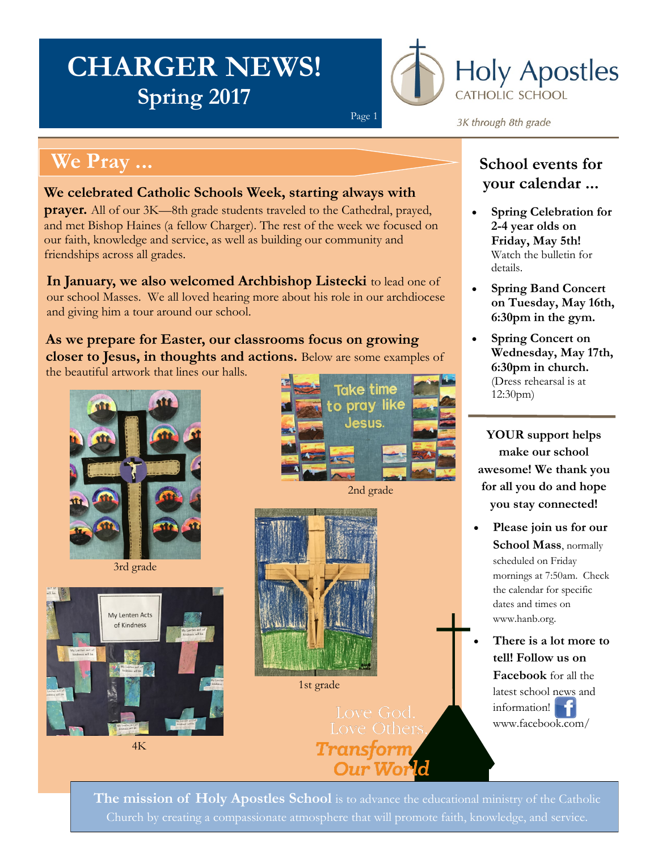# **CHARGER NEWS! Spring 2017**



#### **We Pray ...**

#### **We celebrated Catholic Schools Week, starting always with**

**prayer.** All of our 3K—8th grade students traveled to the Cathedral, prayed, and met Bishop Haines (a fellow Charger). The rest of the week we focused on our faith, knowledge and service, as well as building our community and friendships across all grades.

**In January, we also welcomed Archbishop Listecki** to lead one of our school Masses. We all loved hearing more about his role in our archdiocese and giving him a tour around our school.

**As we prepare for Easter, our classrooms focus on growing closer to Jesus, in thoughts and actions.** Below are some examples of the beautiful artwork that lines our halls.



3rd grade



4K



Page 1



1st grade

Love Others Transforn Our Wo

3K through 8th grade

#### **School events for your calendar ...**

- **Spring Celebration for 2-4 year olds on Friday, May 5th!**  Watch the bulletin for details.
- **Spring Band Concert on Tuesday, May 16th, 6:30pm in the gym.**
- **Spring Concert on Wednesday, May 17th, 6:30pm in church.**  (Dress rehearsal is at 12:30pm)

**YOUR support helps make our school awesome! We thank you for all you do and hope you stay connected!** 

 **Please join us for our School Mass**, normally scheduled on Friday mornings at 7:50am. Check the calendar for specific dates and times on www.hanb.org.

 **There is a lot more to tell! Follow us on Facebook** for all the latest school [news](https://www.facebook.com/HolyApostlesSchool/) and information! www.facebook.com/

**The mission of Holy Apostles School** is to advance the educational ministry of the Catholic Church by creating a compassionate atmosphere that will promote faith, knowledge, and service.